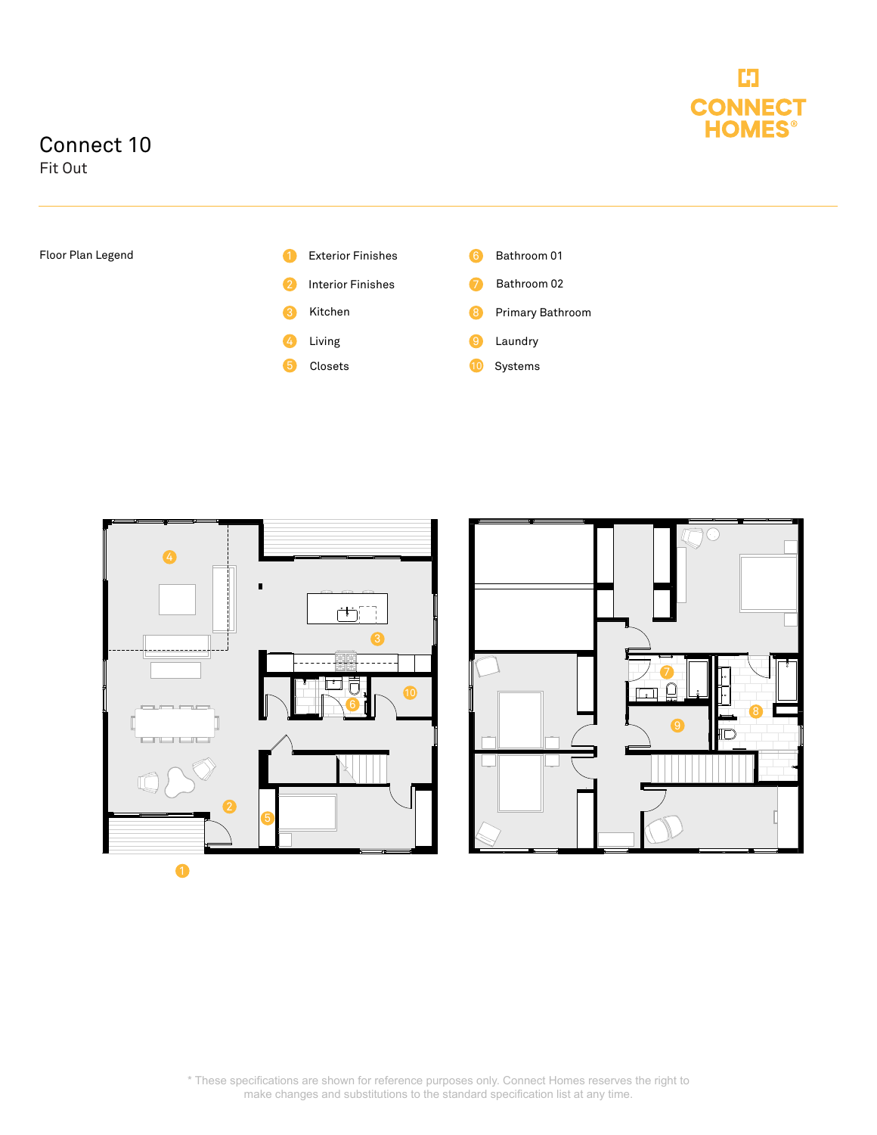

## Connect 10

Fit Out





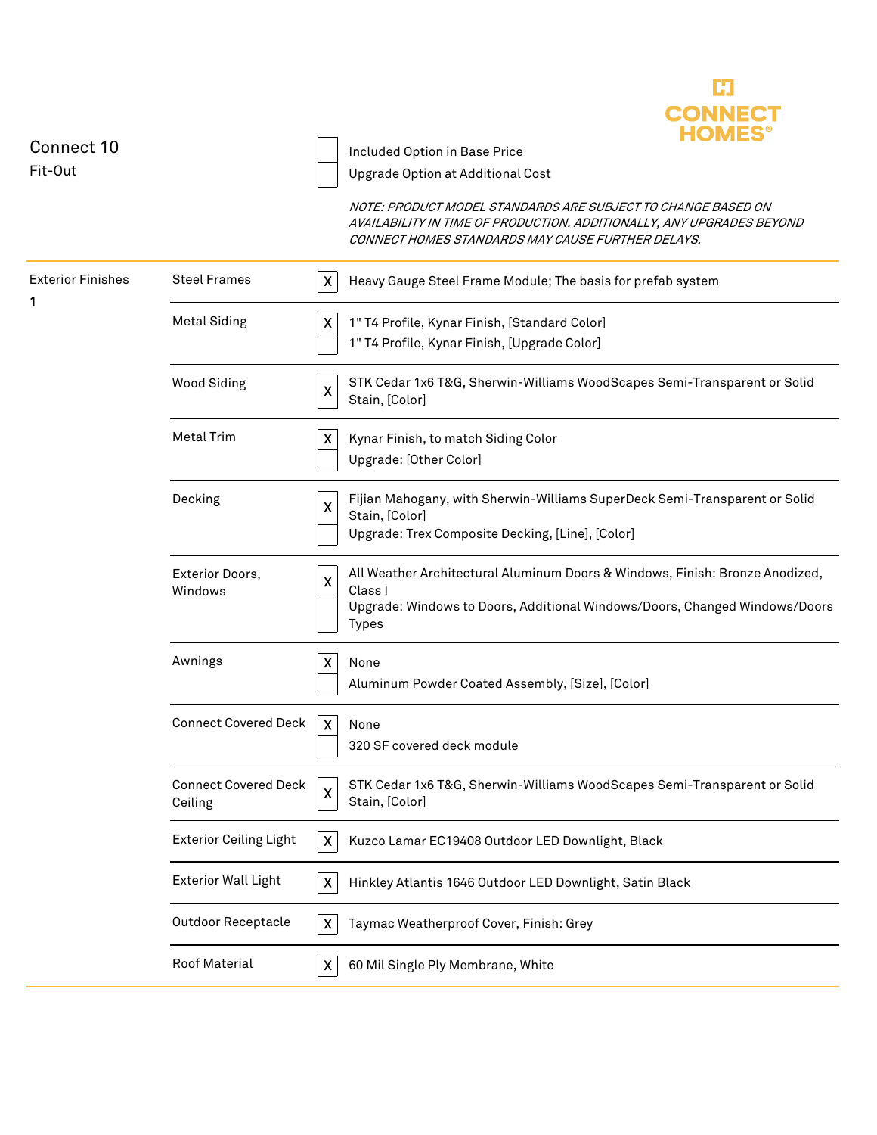

| <b>Exterior Finishes</b><br><b>Steel Frames</b><br>Heavy Gauge Steel Frame Module; The basis for prefab system<br>X<br>1<br><b>Metal Siding</b><br>1" T4 Profile, Kynar Finish, [Standard Color]<br>X<br>1" T4 Profile, Kynar Finish, [Upgrade Color]<br>STK Cedar 1x6 T&G, Sherwin-Williams WoodScapes Semi-Transparent or Solid<br><b>Wood Siding</b><br>X<br>Stain, [Color]<br><b>Metal Trim</b><br>X<br>Kynar Finish, to match Siding Color<br>Upgrade: [Other Color]<br>Fijian Mahogany, with Sherwin-Williams SuperDeck Semi-Transparent or Solid<br>Decking<br>X<br>Stain, [Color]<br>Upgrade: Trex Composite Decking, [Line], [Color]<br>All Weather Architectural Aluminum Doors & Windows, Finish: Bronze Anodized,<br>Exterior Doors,<br>X<br>Class I<br>Windows<br>Upgrade: Windows to Doors, Additional Windows/Doors, Changed Windows/Doors<br><b>Types</b><br>Awnings<br>$\boldsymbol{\mathsf{X}}$<br>None<br>Aluminum Powder Coated Assembly, [Size], [Color]<br><b>Connect Covered Deck</b><br>$\boldsymbol{X}$<br>None<br>320 SF covered deck module<br><b>Connect Covered Deck</b><br>STK Cedar 1x6 T&G, Sherwin-Williams WoodScapes Semi-Transparent or Solid<br>$\boldsymbol{\mathsf{x}}$<br>Stain, [Color]<br>Ceiling<br><b>Exterior Ceiling Light</b><br>Kuzco Lamar EC19408 Outdoor LED Downlight, Black<br>X<br><b>Exterior Wall Light</b><br>Hinkley Atlantis 1646 Outdoor LED Downlight, Satin Black<br>X<br><b>Outdoor Receptacle</b><br>Taymac Weatherproof Cover, Finish: Grey<br>X<br>Roof Material<br>60 Mil Single Ply Membrane, White<br>X | Connect 10<br>Fit-Out |  | IIVILJ<br>Included Option in Base Price<br>Upgrade Option at Additional Cost<br>NOTE: PRODUCT MODEL STANDARDS ARE SUBJECT TO CHANGE BASED ON<br>AVAILABILITY IN TIME OF PRODUCTION. ADDITIONALLY, ANY UPGRADES BEYOND<br>CONNECT HOMES STANDARDS MAY CAUSE FURTHER DELAYS. |
|------------------------------------------------------------------------------------------------------------------------------------------------------------------------------------------------------------------------------------------------------------------------------------------------------------------------------------------------------------------------------------------------------------------------------------------------------------------------------------------------------------------------------------------------------------------------------------------------------------------------------------------------------------------------------------------------------------------------------------------------------------------------------------------------------------------------------------------------------------------------------------------------------------------------------------------------------------------------------------------------------------------------------------------------------------------------------------------------------------------------------------------------------------------------------------------------------------------------------------------------------------------------------------------------------------------------------------------------------------------------------------------------------------------------------------------------------------------------------------------------------------------------------------------------------------------------------|-----------------------|--|----------------------------------------------------------------------------------------------------------------------------------------------------------------------------------------------------------------------------------------------------------------------------|
|                                                                                                                                                                                                                                                                                                                                                                                                                                                                                                                                                                                                                                                                                                                                                                                                                                                                                                                                                                                                                                                                                                                                                                                                                                                                                                                                                                                                                                                                                                                                                                              |                       |  |                                                                                                                                                                                                                                                                            |
|                                                                                                                                                                                                                                                                                                                                                                                                                                                                                                                                                                                                                                                                                                                                                                                                                                                                                                                                                                                                                                                                                                                                                                                                                                                                                                                                                                                                                                                                                                                                                                              |                       |  |                                                                                                                                                                                                                                                                            |
|                                                                                                                                                                                                                                                                                                                                                                                                                                                                                                                                                                                                                                                                                                                                                                                                                                                                                                                                                                                                                                                                                                                                                                                                                                                                                                                                                                                                                                                                                                                                                                              |                       |  |                                                                                                                                                                                                                                                                            |
|                                                                                                                                                                                                                                                                                                                                                                                                                                                                                                                                                                                                                                                                                                                                                                                                                                                                                                                                                                                                                                                                                                                                                                                                                                                                                                                                                                                                                                                                                                                                                                              |                       |  |                                                                                                                                                                                                                                                                            |
|                                                                                                                                                                                                                                                                                                                                                                                                                                                                                                                                                                                                                                                                                                                                                                                                                                                                                                                                                                                                                                                                                                                                                                                                                                                                                                                                                                                                                                                                                                                                                                              |                       |  |                                                                                                                                                                                                                                                                            |
|                                                                                                                                                                                                                                                                                                                                                                                                                                                                                                                                                                                                                                                                                                                                                                                                                                                                                                                                                                                                                                                                                                                                                                                                                                                                                                                                                                                                                                                                                                                                                                              |                       |  |                                                                                                                                                                                                                                                                            |
|                                                                                                                                                                                                                                                                                                                                                                                                                                                                                                                                                                                                                                                                                                                                                                                                                                                                                                                                                                                                                                                                                                                                                                                                                                                                                                                                                                                                                                                                                                                                                                              |                       |  |                                                                                                                                                                                                                                                                            |
|                                                                                                                                                                                                                                                                                                                                                                                                                                                                                                                                                                                                                                                                                                                                                                                                                                                                                                                                                                                                                                                                                                                                                                                                                                                                                                                                                                                                                                                                                                                                                                              |                       |  |                                                                                                                                                                                                                                                                            |
|                                                                                                                                                                                                                                                                                                                                                                                                                                                                                                                                                                                                                                                                                                                                                                                                                                                                                                                                                                                                                                                                                                                                                                                                                                                                                                                                                                                                                                                                                                                                                                              |                       |  |                                                                                                                                                                                                                                                                            |
|                                                                                                                                                                                                                                                                                                                                                                                                                                                                                                                                                                                                                                                                                                                                                                                                                                                                                                                                                                                                                                                                                                                                                                                                                                                                                                                                                                                                                                                                                                                                                                              |                       |  |                                                                                                                                                                                                                                                                            |
|                                                                                                                                                                                                                                                                                                                                                                                                                                                                                                                                                                                                                                                                                                                                                                                                                                                                                                                                                                                                                                                                                                                                                                                                                                                                                                                                                                                                                                                                                                                                                                              |                       |  |                                                                                                                                                                                                                                                                            |
|                                                                                                                                                                                                                                                                                                                                                                                                                                                                                                                                                                                                                                                                                                                                                                                                                                                                                                                                                                                                                                                                                                                                                                                                                                                                                                                                                                                                                                                                                                                                                                              |                       |  |                                                                                                                                                                                                                                                                            |
|                                                                                                                                                                                                                                                                                                                                                                                                                                                                                                                                                                                                                                                                                                                                                                                                                                                                                                                                                                                                                                                                                                                                                                                                                                                                                                                                                                                                                                                                                                                                                                              |                       |  |                                                                                                                                                                                                                                                                            |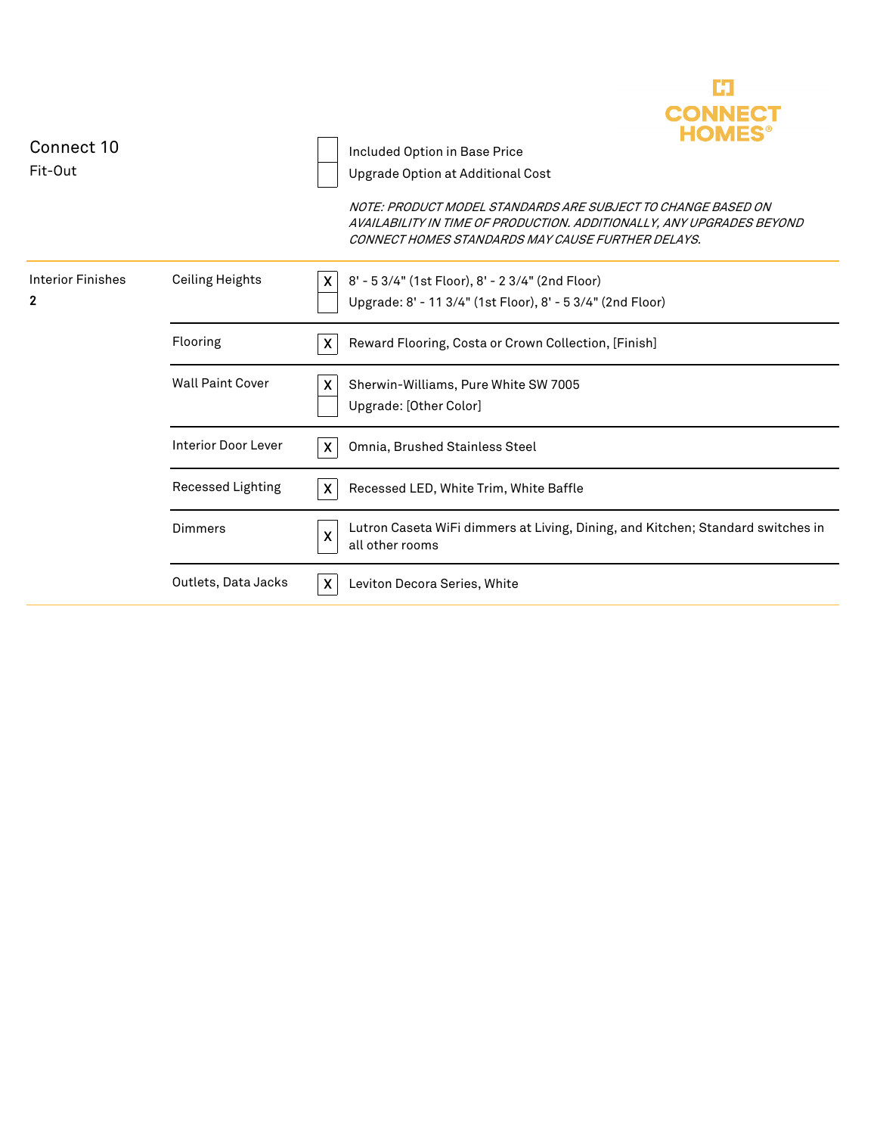

| Connect 10<br>Fit-Out                    |                            |                           | Included Option in Base Price<br>Upgrade Option at Additional Cost<br>NOTE: PRODUCT MODEL STANDARDS ARE SUBJECT TO CHANGE BASED ON<br>AVAILABILITY IN TIME OF PRODUCTION. ADDITIONALLY, ANY UPGRADES BEYOND<br>CONNECT HOMES STANDARDS MAY CAUSE FURTHER DELAYS. |
|------------------------------------------|----------------------------|---------------------------|------------------------------------------------------------------------------------------------------------------------------------------------------------------------------------------------------------------------------------------------------------------|
| <b>Interior Finishes</b><br>$\mathbf{2}$ | <b>Ceiling Heights</b>     | X.                        | 8' - 5 3/4" (1st Floor), 8' - 2 3/4" (2nd Floor)<br>Upgrade: 8' - 11 3/4" (1st Floor), 8' - 5 3/4" (2nd Floor)                                                                                                                                                   |
|                                          | Flooring                   | $\boldsymbol{\mathsf{X}}$ | Reward Flooring, Costa or Crown Collection, [Finish]                                                                                                                                                                                                             |
|                                          | <b>Wall Paint Cover</b>    | X                         | Sherwin-Williams, Pure White SW 7005<br>Upgrade: [Other Color]                                                                                                                                                                                                   |
|                                          | <b>Interior Door Lever</b> |                           | Omnia, Brushed Stainless Steel                                                                                                                                                                                                                                   |
|                                          | Recessed Lighting          | $\mathsf{x}$              | Recessed LED, White Trim, White Baffle                                                                                                                                                                                                                           |
|                                          | Dimmers                    | $\boldsymbol{\mathsf{X}}$ | Lutron Caseta WiFi dimmers at Living, Dining, and Kitchen; Standard switches in<br>all other rooms                                                                                                                                                               |
|                                          | Outlets, Data Jacks        | $\boldsymbol{\mathsf{x}}$ | Leviton Decora Series, White                                                                                                                                                                                                                                     |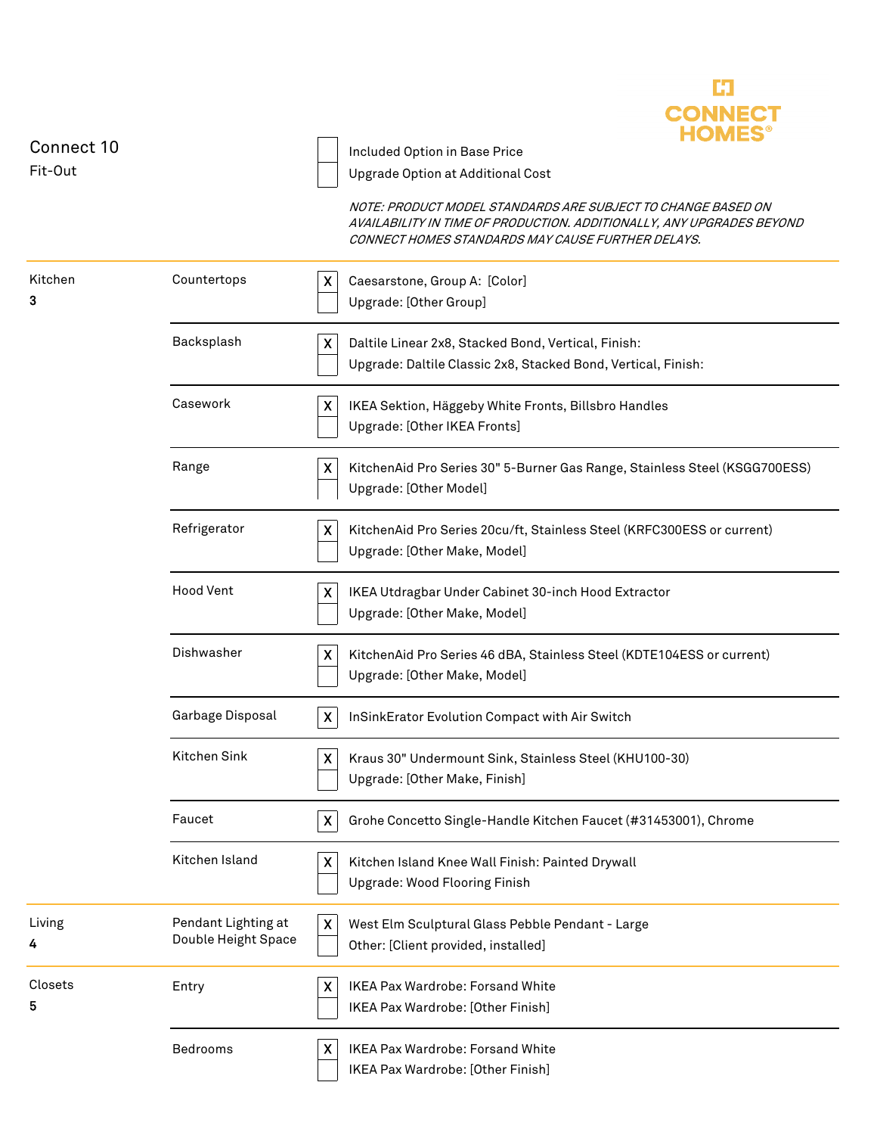

| Connect 10   |                                            | Included Option in Base Price                                                                                              |
|--------------|--------------------------------------------|----------------------------------------------------------------------------------------------------------------------------|
| Fit-Out      |                                            | Upgrade Option at Additional Cost<br>NOTE: PRODUCT MODEL STANDARDS ARE SUBJECT TO CHANGE BASED ON                          |
|              |                                            | AVAILABILITY IN TIME OF PRODUCTION. ADDITIONALLY, ANY UPGRADES BEYOND<br>CONNECT HOMES STANDARDS MAY CAUSE FURTHER DELAYS. |
| Kitchen      | Countertops                                | X<br>Caesarstone, Group A: [Color]                                                                                         |
| 3            |                                            | Upgrade: [Other Group]                                                                                                     |
|              | Backsplash                                 | Daltile Linear 2x8, Stacked Bond, Vertical, Finish:<br>X<br>Upgrade: Daltile Classic 2x8, Stacked Bond, Vertical, Finish:  |
|              | Casework                                   | IKEA Sektion, Häggeby White Fronts, Billsbro Handles<br>X<br>Upgrade: [Other IKEA Fronts]                                  |
|              | Range                                      | X<br>KitchenAid Pro Series 30" 5-Burner Gas Range, Stainless Steel (KSGG700ESS)<br>Upgrade: [Other Model]                  |
|              | Refrigerator                               | X<br>KitchenAid Pro Series 20cu/ft, Stainless Steel (KRFC300ESS or current)<br>Upgrade: [Other Make, Model]                |
|              | <b>Hood Vent</b>                           | X<br>IKEA Utdragbar Under Cabinet 30-inch Hood Extractor<br>Upgrade: [Other Make, Model]                                   |
|              | Dishwasher                                 | X<br>KitchenAid Pro Series 46 dBA, Stainless Steel (KDTE104ESS or current)<br>Upgrade: [Other Make, Model]                 |
|              | Garbage Disposal                           | $\boldsymbol{\mathsf{X}}$<br>InSinkErator Evolution Compact with Air Switch                                                |
|              | Kitchen Sink                               | Kraus 30" Undermount Sink, Stainless Steel (KHU100-30)<br>X<br>Upgrade: [Other Make, Finish]                               |
|              | Faucet                                     | $\boldsymbol{\mathsf{X}}$<br>Grohe Concetto Single-Handle Kitchen Faucet (#31453001), Chrome                               |
|              | Kitchen Island                             | Kitchen Island Knee Wall Finish: Painted Drywall<br>X<br>Upgrade: Wood Flooring Finish                                     |
| Living<br>4  | Pendant Lighting at<br>Double Height Space | $\boldsymbol{\mathsf{X}}$<br>West Elm Sculptural Glass Pebble Pendant - Large<br>Other: [Client provided, installed]       |
| Closets<br>5 | Entry                                      | IKEA Pax Wardrobe: Forsand White<br>X<br>IKEA Pax Wardrobe: [Other Finish]                                                 |
|              | Bedrooms                                   | IKEA Pax Wardrobe: Forsand White<br>X<br>IKEA Pax Wardrobe: [Other Finish]                                                 |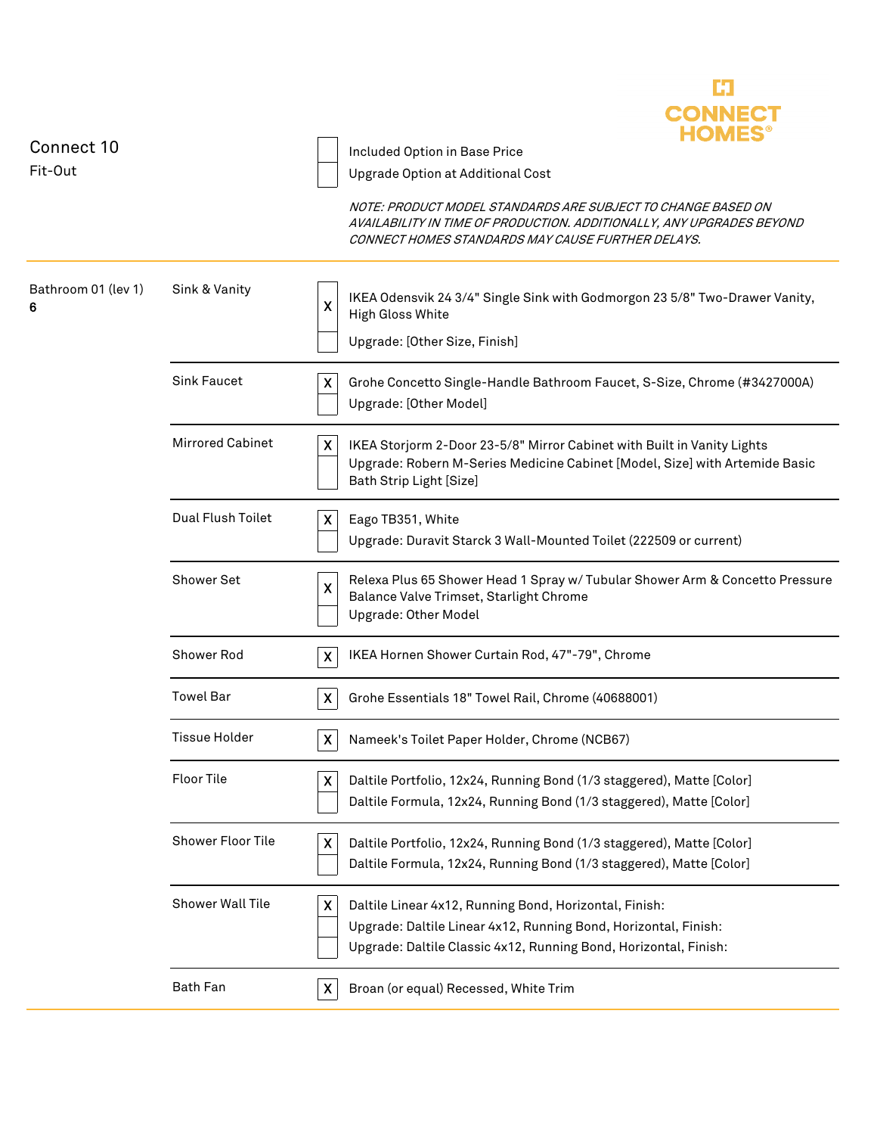

| Connect 10               |                         | I IVILJ                                                                                                                                                                                                             |  |  |
|--------------------------|-------------------------|---------------------------------------------------------------------------------------------------------------------------------------------------------------------------------------------------------------------|--|--|
| Fit-Out                  |                         | Included Option in Base Price                                                                                                                                                                                       |  |  |
|                          |                         | Upgrade Option at Additional Cost                                                                                                                                                                                   |  |  |
|                          |                         | NOTE: PRODUCT MODEL STANDARDS ARE SUBJECT TO CHANGE BASED ON<br>AVAILABILITY IN TIME OF PRODUCTION. ADDITIONALLY, ANY UPGRADES BEYOND<br>CONNECT HOMES STANDARDS MAY CAUSE FURTHER DELAYS.                          |  |  |
| Bathroom 01 (lev 1)<br>6 | Sink & Vanity           | IKEA Odensvik 24 3/4" Single Sink with Godmorgon 23 5/8" Two-Drawer Vanity,<br>X<br>High Gloss White<br>Upgrade: [Other Size, Finish]                                                                               |  |  |
|                          |                         |                                                                                                                                                                                                                     |  |  |
|                          | <b>Sink Faucet</b>      | X<br>Grohe Concetto Single-Handle Bathroom Faucet, S-Size, Chrome (#3427000A)<br>Upgrade: [Other Model]                                                                                                             |  |  |
|                          | <b>Mirrored Cabinet</b> | X<br>IKEA Storjorm 2-Door 23-5/8" Mirror Cabinet with Built in Vanity Lights<br>Upgrade: Robern M-Series Medicine Cabinet [Model, Size] with Artemide Basic<br>Bath Strip Light [Size]                              |  |  |
|                          | Dual Flush Toilet       | X<br>Eago TB351, White<br>Upgrade: Duravit Starck 3 Wall-Mounted Toilet (222509 or current)                                                                                                                         |  |  |
|                          | Shower Set              | Relexa Plus 65 Shower Head 1 Spray w/ Tubular Shower Arm & Concetto Pressure<br>Χ<br>Balance Valve Trimset, Starlight Chrome<br><b>Upgrade: Other Model</b>                                                         |  |  |
|                          | Shower Rod              | IKEA Hornen Shower Curtain Rod, 47"-79", Chrome<br>$\pmb{\mathsf{X}}$                                                                                                                                               |  |  |
|                          | <b>Towel Bar</b>        | $\pmb{\mathsf{X}}$<br>Grohe Essentials 18" Towel Rail, Chrome (40688001)                                                                                                                                            |  |  |
|                          | <b>Tissue Holder</b>    | $\boldsymbol{\mathsf{X}}$<br>Nameek's Toilet Paper Holder, Chrome (NCB67)                                                                                                                                           |  |  |
|                          | Floor Tile              | X Daltile Portfolio, 12x24, Running Bond (1/3 staggered), Matte [Color]<br>Daltile Formula, 12x24, Running Bond (1/3 staggered), Matte [Color]                                                                      |  |  |
|                          | Shower Floor Tile       | Daltile Portfolio, 12x24, Running Bond (1/3 staggered), Matte [Color]<br>$\pmb{\mathsf{X}}$<br>Daltile Formula, 12x24, Running Bond (1/3 staggered), Matte [Color]                                                  |  |  |
|                          | Shower Wall Tile        | $\pmb{\mathsf{X}}$<br>Daltile Linear 4x12, Running Bond, Horizontal, Finish:<br>Upgrade: Daltile Linear 4x12, Running Bond, Horizontal, Finish:<br>Upgrade: Daltile Classic 4x12, Running Bond, Horizontal, Finish: |  |  |
|                          | Bath Fan                | Broan (or equal) Recessed, White Trim<br>X                                                                                                                                                                          |  |  |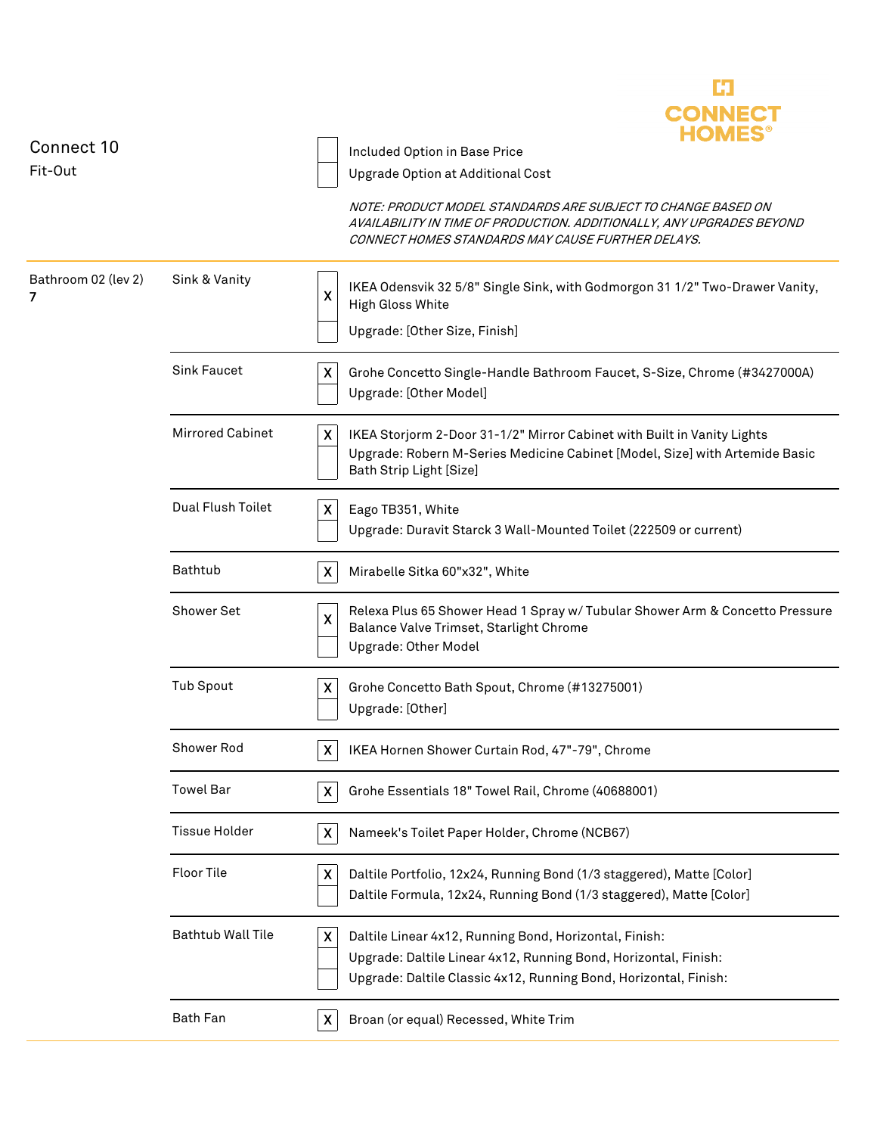

| Connect 10<br>Fit-Out    |                          | Included Option in Base Price<br>Upgrade Option at Additional Cost                                                                                                                                                  |
|--------------------------|--------------------------|---------------------------------------------------------------------------------------------------------------------------------------------------------------------------------------------------------------------|
|                          |                          | NOTE: PRODUCT MODEL STANDARDS ARE SUBJECT TO CHANGE BASED ON<br>AVAILABILITY IN TIME OF PRODUCTION. ADDITIONALLY, ANY UPGRADES BEYOND<br>CONNECT HOMES STANDARDS MAY CAUSE FURTHER DELAYS.                          |
| Bathroom 02 (lev 2)<br>7 | Sink & Vanity            | IKEA Odensvik 32 5/8" Single Sink, with Godmorgon 31 1/2" Two-Drawer Vanity,<br>X<br>High Gloss White<br>Upgrade: [Other Size, Finish]                                                                              |
|                          | <b>Sink Faucet</b>       | X<br>Grohe Concetto Single-Handle Bathroom Faucet, S-Size, Chrome (#3427000A)<br>Upgrade: [Other Model]                                                                                                             |
|                          | <b>Mirrored Cabinet</b>  | $\boldsymbol{\mathsf{X}}$<br>IKEA Storjorm 2-Door 31-1/2" Mirror Cabinet with Built in Vanity Lights<br>Upgrade: Robern M-Series Medicine Cabinet [Model, Size] with Artemide Basic<br>Bath Strip Light [Size]      |
|                          | Dual Flush Toilet        | X<br>Eago TB351, White<br>Upgrade: Duravit Starck 3 Wall-Mounted Toilet (222509 or current)                                                                                                                         |
|                          | Bathtub                  | $\boldsymbol{\mathsf{X}}$<br>Mirabelle Sitka 60"x32", White                                                                                                                                                         |
|                          | Shower Set               | Relexa Plus 65 Shower Head 1 Spray w/ Tubular Shower Arm & Concetto Pressure<br>$\boldsymbol{\mathsf{x}}$<br>Balance Valve Trimset, Starlight Chrome<br><b>Upgrade: Other Model</b>                                 |
|                          | <b>Tub Spout</b>         | Grohe Concetto Bath Spout, Chrome (#13275001)<br>X<br>Upgrade: [Other]                                                                                                                                              |
|                          | Shower Rod               | IKEA Hornen Shower Curtain Rod, 47"-79", Chrome<br>X                                                                                                                                                                |
|                          | <b>Towel Bar</b>         | Grohe Essentials 18" Towel Rail, Chrome (40688001)<br>X                                                                                                                                                             |
|                          | <b>Tissue Holder</b>     | Nameek's Toilet Paper Holder, Chrome (NCB67)<br>X                                                                                                                                                                   |
|                          | <b>Floor Tile</b>        | $\pmb{\mathsf{X}}$<br>Daltile Portfolio, 12x24, Running Bond (1/3 staggered), Matte [Color]<br>Daltile Formula, 12x24, Running Bond (1/3 staggered), Matte [Color]                                                  |
|                          | <b>Bathtub Wall Tile</b> | $\pmb{\mathsf{X}}$<br>Daltile Linear 4x12, Running Bond, Horizontal, Finish:<br>Upgrade: Daltile Linear 4x12, Running Bond, Horizontal, Finish:<br>Upgrade: Daltile Classic 4x12, Running Bond, Horizontal, Finish: |
|                          | <b>Bath Fan</b>          | X<br>Broan (or equal) Recessed, White Trim                                                                                                                                                                          |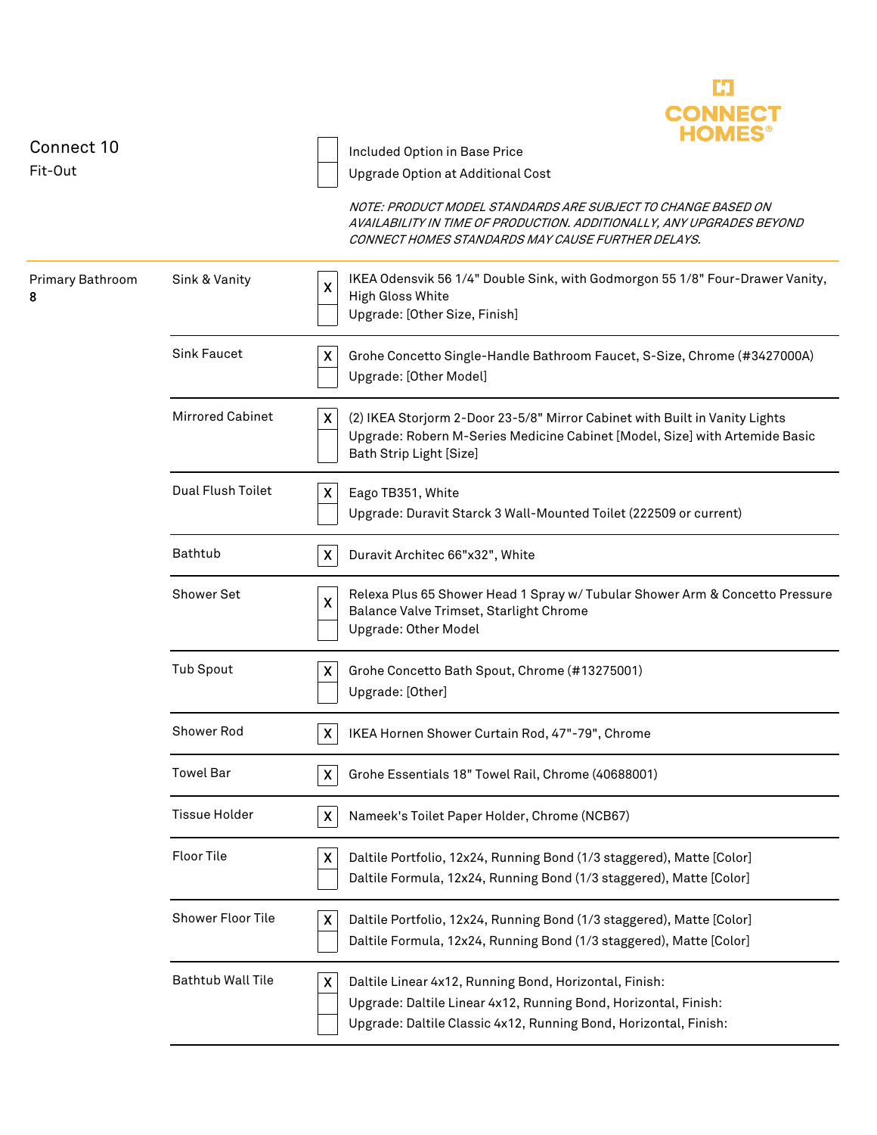

| Connect 10<br>Fit-Out |                          | Included Option in Base Price<br>Upgrade Option at Additional Cost<br>NOTE: PRODUCT MODEL STANDARDS ARE SUBJECT TO CHANGE BASED ON<br>AVAILABILITY IN TIME OF PRODUCTION. ADDITIONALLY, ANY UPGRADES BEYOND         |
|-----------------------|--------------------------|---------------------------------------------------------------------------------------------------------------------------------------------------------------------------------------------------------------------|
|                       |                          | CONNECT HOMES STANDARDS MAY CAUSE FURTHER DELAYS.                                                                                                                                                                   |
| Primary Bathroom<br>8 | Sink & Vanity            | IKEA Odensvik 56 1/4" Double Sink, with Godmorgon 55 1/8" Four-Drawer Vanity,<br>$\pmb{\mathsf{X}}$<br>High Gloss White<br>Upgrade: [Other Size, Finish]                                                            |
|                       | <b>Sink Faucet</b>       | X<br>Grohe Concetto Single-Handle Bathroom Faucet, S-Size, Chrome (#3427000A)<br>Upgrade: [Other Model]                                                                                                             |
|                       | <b>Mirrored Cabinet</b>  | X<br>(2) IKEA Storjorm 2-Door 23-5/8" Mirror Cabinet with Built in Vanity Lights<br>Upgrade: Robern M-Series Medicine Cabinet [Model, Size] with Artemide Basic<br>Bath Strip Light [Size]                          |
|                       | Dual Flush Toilet        | Eago TB351, White<br>X<br>Upgrade: Duravit Starck 3 Wall-Mounted Toilet (222509 or current)                                                                                                                         |
|                       | <b>Bathtub</b>           | X<br>Duravit Architec 66"x32", White                                                                                                                                                                                |
|                       | <b>Shower Set</b>        | Relexa Plus 65 Shower Head 1 Spray w/ Tubular Shower Arm & Concetto Pressure<br>X<br>Balance Valve Trimset, Starlight Chrome<br><b>Upgrade: Other Model</b>                                                         |
|                       | <b>Tub Spout</b>         | Grohe Concetto Bath Spout, Chrome (#13275001)<br>X<br>Upgrade: [Other]                                                                                                                                              |
|                       | Shower Rod               | IKEA Hornen Shower Curtain Rod, 47"-79", Chrome<br>X                                                                                                                                                                |
|                       | <b>Towel Bar</b>         | Grohe Essentials 18" Towel Rail, Chrome (40688001)<br>X.                                                                                                                                                            |
|                       | <b>Tissue Holder</b>     | Nameek's Toilet Paper Holder, Chrome (NCB67)<br>X                                                                                                                                                                   |
|                       | Floor Tile               | Daltile Portfolio, 12x24, Running Bond (1/3 staggered), Matte [Color]<br>X<br>Daltile Formula, 12x24, Running Bond (1/3 staggered), Matte [Color]                                                                   |
|                       | Shower Floor Tile        | Daltile Portfolio, 12x24, Running Bond (1/3 staggered), Matte [Color]<br>X<br>Daltile Formula, 12x24, Running Bond (1/3 staggered), Matte [Color]                                                                   |
|                       | <b>Bathtub Wall Tile</b> | $\pmb{\mathsf{X}}$<br>Daltile Linear 4x12, Running Bond, Horizontal, Finish:<br>Upgrade: Daltile Linear 4x12, Running Bond, Horizontal, Finish:<br>Upgrade: Daltile Classic 4x12, Running Bond, Horizontal, Finish: |